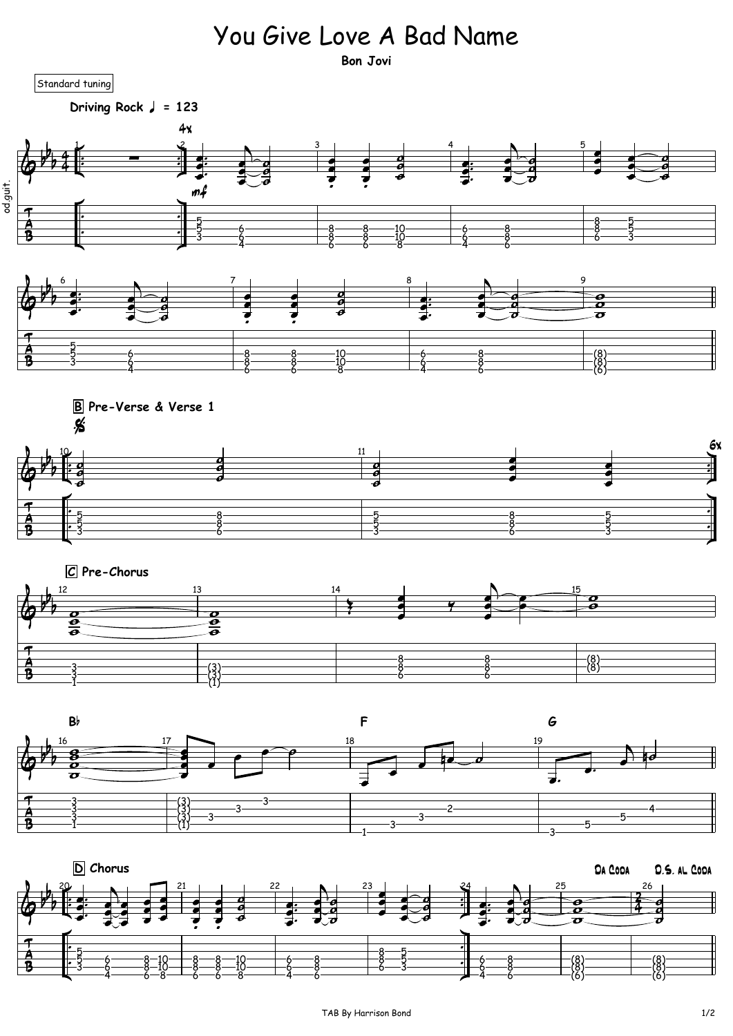## You Give Love A Bad Name

**Bon Jovi**

Standard tuning

Driving Rock  $\sqrt{ }$  = 123

 રૂ

 $\overline{\mathcal{F}}$ 

 $\frac{A}{B}$ 

  $\tilde{8}$ 



(1) (3)  

 $\left( 3\right)$   $\longrightarrow$  8

(8)



**B F G**

8 (8)

![](_page_0_Figure_8.jpeg)